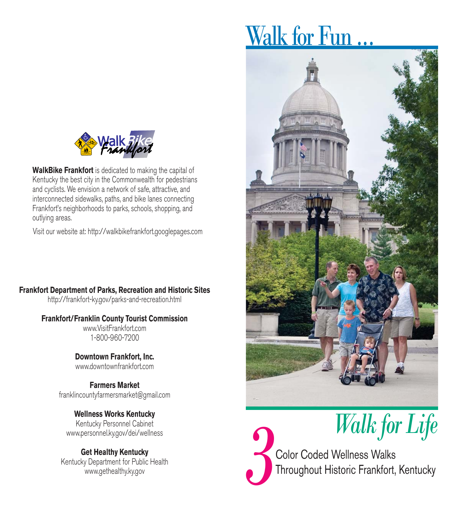

**WalkBike Frankfort** is dedicated to making the capital of Kentucky the best city in the Commonwealth for pedestrians and cyclists. We envision a network of safe, attractive, and interconnected sidewalks, paths, and bike lanes connecting Frankfort's neighborhoods to parks, schools, shopping, and outlying areas.

Visit our website at: http://walkbikefrankfort.googlepages.com

# **Frankfort Department of Parks, Recreation and Historic Sites**

http://frankfort-ky.gov/parks-and-recreation.html

### **Frankfort/Franklin County Tourist Commission**

www.VisitFrankfort.com 1-800-960-7200

**Downtown Frankfort, Inc.** www.downtownfrankfort.com

**Farmers Market** franklincountyfarmersmarket@gmail.com

#### **Wellness Works Kentucky** Kentucky Personnel Cabinet

www.personnel.ky.gov/dei/wellness

### **Get Healthy Kentucky** Kentucky Department for Public Health www.gethealthy.ky.gov

# Walk for Fun.





*Walk for Life*<br>
<sup>2</sup>Color Coded Wellness Walks

Throughout Historic Frankfort, Kentucky